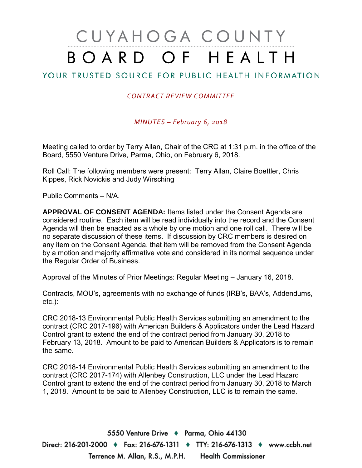# CUYAHOGA COUNTY BOARD OF HEALTH

## YOUR TRUSTED SOURCE FOR PUBLIC HEALTH INFORMATION

#### *CONTRACT REVIEW COMMITTEE*

*MINUTES – February 6, 2018*

Meeting called to order by Terry Allan, Chair of the CRC at 1:31 p.m. in the office of the Board, 5550 Venture Drive, Parma, Ohio, on February 6, 2018.

Roll Call: The following members were present: Terry Allan, Claire Boettler, Chris Kippes, Rick Novickis and Judy Wirsching

Public Comments – N/A.

**APPROVAL OF CONSENT AGENDA:** Items listed under the Consent Agenda are considered routine. Each item will be read individually into the record and the Consent Agenda will then be enacted as a whole by one motion and one roll call. There will be no separate discussion of these items. If discussion by CRC members is desired on any item on the Consent Agenda, that item will be removed from the Consent Agenda by a motion and majority affirmative vote and considered in its normal sequence under the Regular Order of Business.

Approval of the Minutes of Prior Meetings: Regular Meeting – January 16, 2018.

Contracts, MOU's, agreements with no exchange of funds (IRB's, BAA's, Addendums, etc.):

CRC 2018-13 Environmental Public Health Services submitting an amendment to the contract (CRC 2017-196) with American Builders & Applicators under the Lead Hazard Control grant to extend the end of the contract period from January 30, 2018 to February 13, 2018. Amount to be paid to American Builders & Applicators is to remain the same.

CRC 2018-14 Environmental Public Health Services submitting an amendment to the contract (CRC 2017-174) with Allenbey Construction, LLC under the Lead Hazard Control grant to extend the end of the contract period from January 30, 2018 to March 1, 2018. Amount to be paid to Allenbey Construction, LLC is to remain the same.

5550 Venture Drive + Parma, Ohio 44130 Direct: 216-201-2000 ♦ Fax: 216-676-1311 ♦ TTY: 216-676-1313 ♦ www.ccbh.net Terrence M. Allan, R.S., M.P.H. Health Commissioner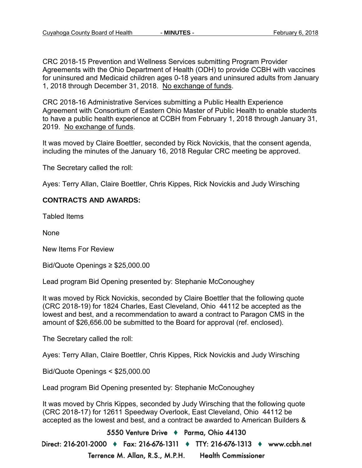CRC 2018-15 Prevention and Wellness Services submitting Program Provider Agreements with the Ohio Department of Health (ODH) to provide CCBH with vaccines for uninsured and Medicaid children ages 0-18 years and uninsured adults from January 1, 2018 through December 31, 2018. No exchange of funds.

CRC 2018-16 Administrative Services submitting a Public Health Experience Agreement with Consortium of Eastern Ohio Master of Public Health to enable students to have a public health experience at CCBH from February 1, 2018 through January 31, 2019. No exchange of funds.

It was moved by Claire Boettler, seconded by Rick Novickis, that the consent agenda, including the minutes of the January 16, 2018 Regular CRC meeting be approved.

The Secretary called the roll:

Ayes: Terry Allan, Claire Boettler, Chris Kippes, Rick Novickis and Judy Wirsching

#### **CONTRACTS AND AWARDS:**

Tabled Items

None

New Items For Review

Bid/Quote Openings ≥ \$25,000.00

Lead program Bid Opening presented by: Stephanie McConoughey

It was moved by Rick Novickis, seconded by Claire Boettler that the following quote (CRC 2018-19) for 1824 Charles, East Cleveland, Ohio 44112 be accepted as the lowest and best, and a recommendation to award a contract to Paragon CMS in the amount of \$26,656.00 be submitted to the Board for approval (ref. enclosed).

The Secretary called the roll:

Ayes: Terry Allan, Claire Boettler, Chris Kippes, Rick Novickis and Judy Wirsching

Bid/Quote Openings < \$25,000.00

Lead program Bid Opening presented by: Stephanie McConoughey

It was moved by Chris Kippes, seconded by Judy Wirsching that the following quote (CRC 2018-17) for 12611 Speedway Overlook, East Cleveland, Ohio 44112 be accepted as the lowest and best, and a contract be awarded to American Builders &

5550 Venture Drive + Parma, Ohio 44130 Direct: 216-201-2000 ♦ Fax: 216-676-1311 ♦ TTY: 216-676-1313 ♦ www.ccbh.net

> Terrence M. Allan, R.S., M.P.H. **Health Commissioner**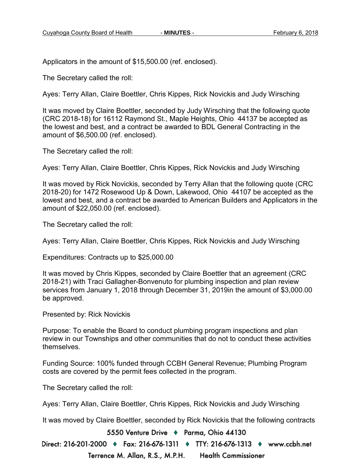Applicators in the amount of \$15,500.00 (ref. enclosed).

The Secretary called the roll:

Ayes: Terry Allan, Claire Boettler, Chris Kippes, Rick Novickis and Judy Wirsching

It was moved by Claire Boettler, seconded by Judy Wirsching that the following quote (CRC 2018-18) for 16112 Raymond St., Maple Heights, Ohio 44137 be accepted as the lowest and best, and a contract be awarded to BDL General Contracting in the amount of \$6,500.00 (ref. enclosed).

The Secretary called the roll:

Ayes: Terry Allan, Claire Boettler, Chris Kippes, Rick Novickis and Judy Wirsching

It was moved by Rick Novickis, seconded by Terry Allan that the following quote (CRC 2018-20) for 1472 Rosewood Up & Down, Lakewood, Ohio 44107 be accepted as the lowest and best, and a contract be awarded to American Builders and Applicators in the amount of \$22,050.00 (ref. enclosed).

The Secretary called the roll:

Ayes: Terry Allan, Claire Boettler, Chris Kippes, Rick Novickis and Judy Wirsching

Expenditures: Contracts up to \$25,000.00

It was moved by Chris Kippes, seconded by Claire Boettler that an agreement (CRC 2018-21) with Traci Gallagher-Bonvenuto for plumbing inspection and plan review services from January 1, 2018 through December 31, 2019in the amount of \$3,000.00 be approved.

Presented by: Rick Novickis

Purpose: To enable the Board to conduct plumbing program inspections and plan review in our Townships and other communities that do not to conduct these activities themselves.

Funding Source: 100% funded through CCBH General Revenue; Plumbing Program costs are covered by the permit fees collected in the program.

The Secretary called the roll:

Ayes: Terry Allan, Claire Boettler, Chris Kippes, Rick Novickis and Judy Wirsching

It was moved by Claire Boettler, seconded by Rick Novickis that the following contracts

5550 Venture Drive + Parma, Ohio 44130

Direct: 216-201-2000 ♦ Fax: 216-676-1311 ♦ TTY: 216-676-1313 ♦ www.ccbh.net Terrence M. Allan, R.S., M.P.H. **Health Commissioner**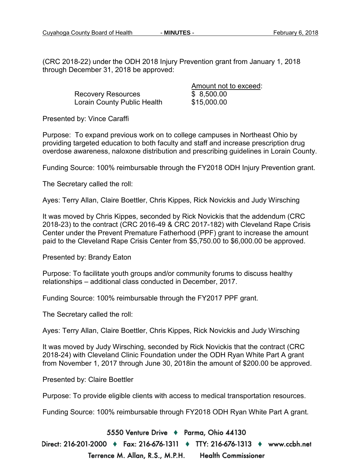(CRC 2018-22) under the ODH 2018 Injury Prevention grant from January 1, 2018 through December 31, 2018 be approved:

> Recovery Resources \$ 8,500.00 Lorain County Public Health \$15,000.00

Amount not to exceed:

Presented by: Vince Caraffi

Purpose: To expand previous work on to college campuses in Northeast Ohio by providing targeted education to both faculty and staff and increase prescription drug overdose awareness, naloxone distribution and prescribing guidelines in Lorain County.

Funding Source: 100% reimbursable through the FY2018 ODH Injury Prevention grant.

The Secretary called the roll:

Ayes: Terry Allan, Claire Boettler, Chris Kippes, Rick Novickis and Judy Wirsching

It was moved by Chris Kippes, seconded by Rick Novickis that the addendum (CRC 2018-23) to the contract (CRC 2016-49 & CRC 2017-182) with Cleveland Rape Crisis Center under the Prevent Premature Fatherhood (PPF) grant to increase the amount paid to the Cleveland Rape Crisis Center from \$5,750.00 to \$6,000.00 be approved.

Presented by: Brandy Eaton

Purpose: To facilitate youth groups and/or community forums to discuss healthy relationships – additional class conducted in December, 2017.

Funding Source: 100% reimbursable through the FY2017 PPF grant.

The Secretary called the roll:

Ayes: Terry Allan, Claire Boettler, Chris Kippes, Rick Novickis and Judy Wirsching

It was moved by Judy Wirsching, seconded by Rick Novickis that the contract (CRC 2018-24) with Cleveland Clinic Foundation under the ODH Ryan White Part A grant from November 1, 2017 through June 30, 2018in the amount of \$200.00 be approved.

Presented by: Claire Boettler

Purpose: To provide eligible clients with access to medical transportation resources.

Funding Source: 100% reimbursable through FY2018 ODH Ryan White Part A grant.

5550 Venture Drive + Parma, Ohio 44130

Direct: 216-201-2000 ♦ Fax: 216-676-1311 ♦ TTY: 216-676-1313 ♦ www.ccbh.net Terrence M. Allan, R.S., M.P.H. **Health Commissioner**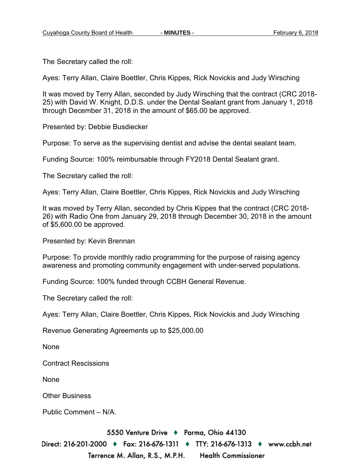The Secretary called the roll:

Ayes: Terry Allan, Claire Boettler, Chris Kippes, Rick Novickis and Judy Wirsching

It was moved by Terry Allan, seconded by Judy Wirsching that the contract (CRC 2018- 25) with David W. Knight, D.D.S. under the Dental Sealant grant from January 1, 2018 through December 31, 2018 in the amount of \$65.00 be approved.

Presented by: Debbie Busdiecker

Purpose: To serve as the supervising dentist and advise the dental sealant team.

Funding Source: 100% reimbursable through FY2018 Dental Sealant grant.

The Secretary called the roll:

Ayes: Terry Allan, Claire Boettler, Chris Kippes, Rick Novickis and Judy Wirsching

It was moved by Terry Allan, seconded by Chris Kippes that the contract (CRC 2018- 26) with Radio One from January 29, 2018 through December 30, 2018 in the amount of \$5,600.00 be approved.

Presented by: Kevin Brennan

Purpose: To provide monthly radio programming for the purpose of raising agency awareness and promoting community engagement with under-served populations.

Funding Source: 100% funded through CCBH General Revenue.

The Secretary called the roll:

Ayes: Terry Allan, Claire Boettler, Chris Kippes, Rick Novickis and Judy Wirsching

Revenue Generating Agreements up to \$25,000.00

None

Contract Rescissions

None

Other Business

Public Comment – N/A.

5550 Venture Drive + Parma, Ohio 44130

Direct: 216-201-2000 ♦ Fax: 216-676-1311 ♦ TTY: 216-676-1313 ♦ www.ccbh.net Terrence M. Allan, R.S., M.P.H. **Health Commissioner**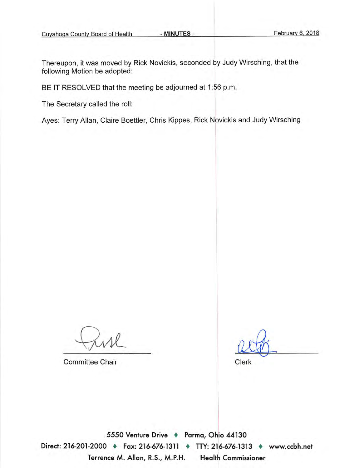Thereupon, it was moved by Rick Novickis, seconded by Judy Wirsching, that the following Motion be adopted:

BE IT RESOLVED that the meeting be adjourned at 1:56 p.m.

The Secretary called the roll:

Ayes: Terry Allan, Claire Boettler, Chris Kippes, Rick Novickis and Judy Wirsching

**Committee Chair** 

Clerk

5550 Venture Drive + Parma, Ohio 44130 Direct: 216-201-2000 • Fax: 216-676-1311 • TTY: 216-676-1313 • www.ccbh.net Terrence M. Allan, R.S., M.P.H. **Health Commissioner**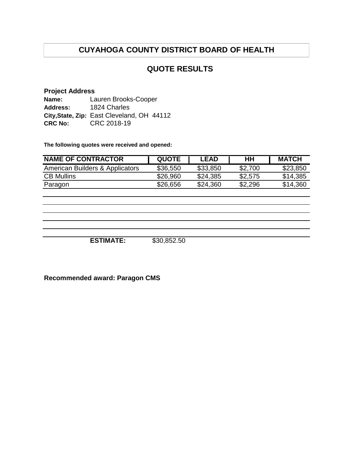## **QUOTE RESULTS**

#### **Project Address Name: Address:** 1824 Charles **City,State, Zip:** East Cleveland, OH 44112 **CRC No:**  CRC 2018-19 Lauren Brooks-Cooper

**The following quotes were received and opened:**

| <b>NAME OF CONTRACTOR</b>       | <b>QUOTE</b> | <b>LEAD</b> | HН      | <b>MATCH</b> |
|---------------------------------|--------------|-------------|---------|--------------|
| American Builders & Applicators | \$36,550     | \$33,850    | \$2,700 | \$23,850     |
| <b>CB Mullins</b>               | \$26,960     | \$24,385    | \$2,575 | \$14,385     |
| Paragon                         | \$26,656     | \$24.360    | \$2,296 | \$14,360     |

**ESTIMATE:** \$30,852.50

**Recommended award: Paragon CMS**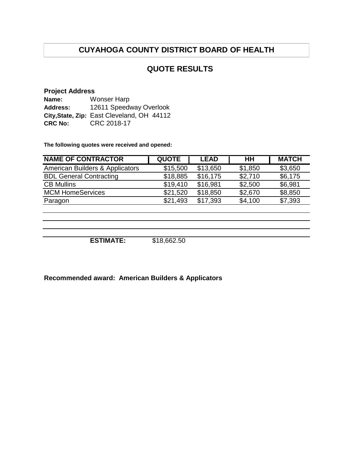#### **QUOTE RESULTS**

#### **Project Address**

| Name:           | <b>Wonser Harp</b>                         |
|-----------------|--------------------------------------------|
| <b>Address:</b> | 12611 Speedway Overlook                    |
|                 | City, State, Zip: East Cleveland, OH 44112 |
| <b>CRC No:</b>  | CRC 2018-17                                |

**The following quotes were received and opened:**

| <b>NAME OF CONTRACTOR</b>       | <b>QUOTE</b> | <b>LEAD</b> | <b>HH</b> | <b>MATCH</b> |
|---------------------------------|--------------|-------------|-----------|--------------|
| American Builders & Applicators | \$15,500     | \$13,650    | \$1,850   | \$3,650      |
| <b>BDL General Contracting</b>  | \$18,885     | \$16,175    | \$2,710   | \$6,175      |
| <b>CB Mullins</b>               | \$19,410     | \$16,981    | \$2,500   | \$6,981      |
| <b>MCM HomeServices</b>         | \$21,520     | \$18,850    | \$2,670   | \$8,850      |
| Paragon                         | \$21,493     | \$17,393    | \$4,100   | \$7,393      |
|                                 |              |             |           |              |
|                                 |              |             |           |              |
|                                 |              |             |           |              |
|                                 |              |             |           |              |

**ESTIMATE:** \$18,662.50

**Recommended award: American Builders & Applicators**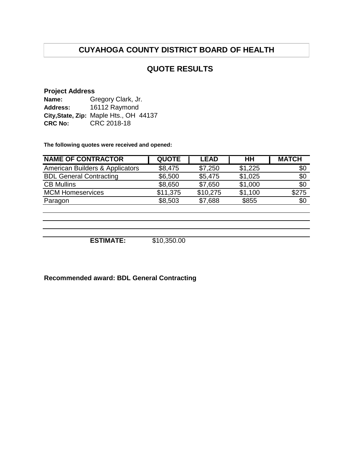#### **QUOTE RESULTS**

#### **Project Address**

| Name:           | Gregory Clark, Jr.                     |  |  |  |
|-----------------|----------------------------------------|--|--|--|
| <b>Address:</b> | 16112 Raymond                          |  |  |  |
|                 | City, State, Zip: Maple Hts., OH 44137 |  |  |  |
| <b>CRC No:</b>  | CRC 2018-18                            |  |  |  |

**The following quotes were received and opened:**

| <b>NAME OF CONTRACTOR</b>       | <b>QUOTE</b> | <b>LEAD</b> | HH      | <b>MATCH</b> |
|---------------------------------|--------------|-------------|---------|--------------|
| American Builders & Applicators | \$8,475      | \$7,250     | \$1,225 | \$0          |
| <b>BDL General Contracting</b>  | \$6,500      | \$5,475     | \$1,025 | \$0          |
| <b>CB Mullins</b>               | \$8,650      | \$7,650     | \$1,000 | \$0          |
| <b>MCM Homeservices</b>         | \$11,375     | \$10,275    | \$1,100 | \$275        |
| Paragon                         | \$8,503      | \$7,688     | \$855   | \$0          |
|                                 |              |             |         |              |
|                                 |              |             |         |              |
|                                 |              |             |         |              |

**ESTIMATE:** \$10,350.00

**Recommended award: BDL General Contracting**